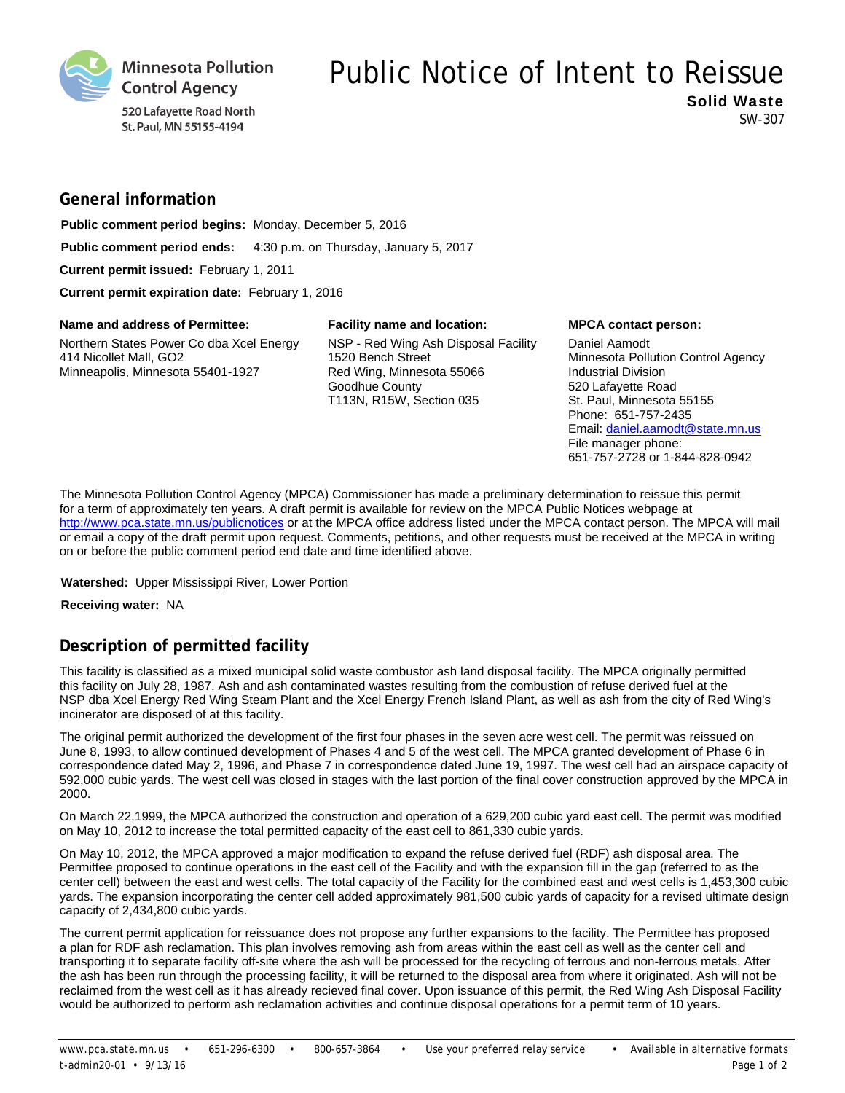

### 520 Lafayette Road North St. Paul, MN 55155-4194

# Public Notice of Intent to Reissue

Solid Waste SW-307

# **General information**

**Public comment period begins:** Monday, December 5, 2016 **Public comment period ends:** 4:30 p.m. on Thursday, January 5, 2017

**Current permit issued:** February 1, 2011

**Current permit expiration date:** February 1, 2016

#### Name and address of Permittee: Facility name and location: MPCA contact person:

Northern States Power Co dba Xcel Energy 414 Nicollet Mall, GO2 Minneapolis, Minnesota 55401-1927

NSP - Red Wing Ash Disposal Facility 1520 Bench Street Red Wing, Minnesota 55066 Goodhue County T113N, R15W, Section 035

Daniel Aamodt Minnesota Pollution Control Agency Industrial Division 520 Lafayette Road St. Paul, Minnesota 55155 Phone: 651-757-2435 Email: daniel.aamodt@state.mn.us File manager phone: 651-757-2728 or 1-844-828-0942

The Minnesota Pollution Control Agency (MPCA) Commissioner has made a preliminary determination to reissue this permit for a term of approximately ten years. A draft permit is available for review on the MPCA Public Notices webpage at http://www.pca.state.mn.us/publicnotices or at the MPCA office address listed under the MPCA contact person. The MPCA will mail or email a copy of the draft permit upon request. Comments, petitions, and other requests must be received at the MPCA in writing on or before the public comment period end date and time identified above.

#### **Watershed:** Upper Mississippi River, Lower Portion

#### **Receiving water:** NA

# **Description of permitted facility**

This facility is classified as a mixed municipal solid waste combustor ash land disposal facility. The MPCA originally permitted this facility on July 28, 1987. Ash and ash contaminated wastes resulting from the combustion of refuse derived fuel at the NSP dba Xcel Energy Red Wing Steam Plant and the Xcel Energy French Island Plant, as well as ash from the city of Red Wing's incinerator are disposed of at this facility.

The original permit authorized the development of the first four phases in the seven acre west cell. The permit was reissued on June 8, 1993, to allow continued development of Phases 4 and 5 of the west cell. The MPCA granted development of Phase 6 in correspondence dated May 2, 1996, and Phase 7 in correspondence dated June 19, 1997. The west cell had an airspace capacity of 592,000 cubic yards. The west cell was closed in stages with the last portion of the final cover construction approved by the MPCA in 2000.

On March 22,1999, the MPCA authorized the construction and operation of a 629,200 cubic yard east cell. The permit was modified on May 10, 2012 to increase the total permitted capacity of the east cell to 861,330 cubic yards.

On May 10, 2012, the MPCA approved a major modification to expand the refuse derived fuel (RDF) ash disposal area. The Permittee proposed to continue operations in the east cell of the Facility and with the expansion fill in the gap (referred to as the center cell) between the east and west cells. The total capacity of the Facility for the combined east and west cells is 1,453,300 cubic yards. The expansion incorporating the center cell added approximately 981,500 cubic yards of capacity for a revised ultimate design capacity of 2,434,800 cubic yards.

The current permit application for reissuance does not propose any further expansions to the facility. The Permittee has proposed a plan for RDF ash reclamation. This plan involves removing ash from areas within the east cell as well as the center cell and transporting it to separate facility off-site where the ash will be processed for the recycling of ferrous and non-ferrous metals. After the ash has been run through the processing facility, it will be returned to the disposal area from where it originated. Ash will not be reclaimed from the west cell as it has already recieved final cover. Upon issuance of this permit, the Red Wing Ash Disposal Facility would be authorized to perform ash reclamation activities and continue disposal operations for a permit term of 10 years.